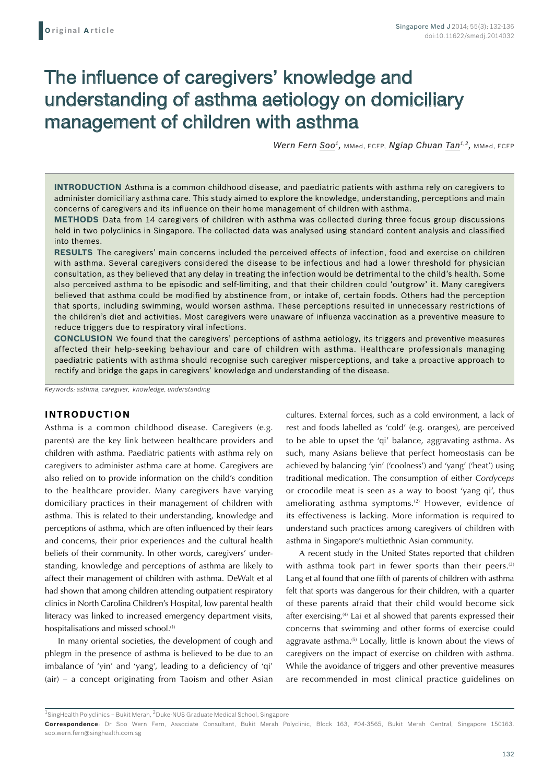# The influence of caregivers' knowledge and understanding of asthma aetiology on domiciliary management of children with asthma

Wern Fern Soo<sup>1</sup>, MMed, FCFP, Ngiap Chuan Tan<sup>1,2</sup>, MMed, FCFP

**Introduction** Asthma is a common childhood disease, and paediatric patients with asthma rely on caregivers to administer domiciliary asthma care. This study aimed to explore the knowledge, understanding, perceptions and main concerns of caregivers and its influence on their home management of children with asthma.

**Methods** Data from 14 caregivers of children with asthma was collected during three focus group discussions held in two polyclinics in Singapore. The collected data was analysed using standard content analysis and classified into themes.

**Results** The caregivers' main concerns included the perceived effects of infection, food and exercise on children with asthma. Several caregivers considered the disease to be infectious and had a lower threshold for physician consultation, as they believed that any delay in treating the infection would be detrimental to the child's health. Some also perceived asthma to be episodic and self-limiting, and that their children could 'outgrow' it. Many caregivers believed that asthma could be modified by abstinence from, or intake of, certain foods. Others had the perception that sports, including swimming, would worsen asthma. These perceptions resulted in unnecessary restrictions of the children's diet and activities. Most caregivers were unaware of influenza vaccination as a preventive measure to reduce triggers due to respiratory viral infections.

**Conclusion** We found that the caregivers' perceptions of asthma aetiology, its triggers and preventive measures affected their help-seeking behaviour and care of children with asthma. Healthcare professionals managing paediatric patients with asthma should recognise such caregiver misperceptions, and take a proactive approach to rectify and bridge the gaps in caregivers' knowledge and understanding of the disease.

*Keywords: asthma, caregiver, knowledge, understanding*

## **INTRODUCTION**

Asthma is a common childhood disease. Caregivers (e.g. parents) are the key link between healthcare providers and children with asthma. Paediatric patients with asthma rely on caregivers to administer asthma care at home. Caregivers are also relied on to provide information on the child's condition to the healthcare provider. Many caregivers have varying domiciliary practices in their management of children with asthma. This is related to their understanding, knowledge and perceptions of asthma, which are often influenced by their fears and concerns, their prior experiences and the cultural health beliefs of their community. In other words, caregivers' understanding, knowledge and perceptions of asthma are likely to affect their management of children with asthma. DeWalt et al had shown that among children attending outpatient respiratory clinics in North Carolina Children's Hospital, low parental health literacy was linked to increased emergency department visits, hospitalisations and missed school.<sup>(1)</sup>

In many oriental societies, the development of cough and phlegm in the presence of asthma is believed to be due to an imbalance of 'yin' and 'yang', leading to a deficiency of 'qi' (air) – a concept originating from Taoism and other Asian cultures. External forces, such as a cold environment, a lack of rest and foods labelled as 'cold' (e.g. oranges), are perceived to be able to upset the 'qi' balance, aggravating asthma. As such, many Asians believe that perfect homeostasis can be achieved by balancing 'yin' ('coolness') and 'yang' ('heat') using traditional medication. The consumption of either *Cordyceps* or crocodile meat is seen as a way to boost 'yang qi', thus ameliorating asthma symptoms.<sup>(2)</sup> However, evidence of its effectiveness is lacking. More information is required to understand such practices among caregivers of children with asthma in Singapore's multiethnic Asian community.

A recent study in the United States reported that children with asthma took part in fewer sports than their peers.<sup>(3)</sup> Lang et al found that one fifth of parents of children with asthma felt that sports was dangerous for their children, with a quarter of these parents afraid that their child would become sick after exercising.<sup>(4)</sup> Lai et al showed that parents expressed their concerns that swimming and other forms of exercise could aggravate asthma.<sup>(5)</sup> Locally, little is known about the views of caregivers on the impact of exercise on children with asthma. While the avoidance of triggers and other preventive measures are recommended in most clinical practice guidelines on

 $^{\rm 1}$ SingHealth Polyclinics – Bukit Merah,  $^{\rm 2}$ Duke-NUS Graduate Medical School, Singapore

**Correspondence**: Dr Soo Wern Fern, Associate Consultant, Bukit Merah Polyclinic, Block 163, #04-3565, Bukit Merah Central, Singapore 150163. soo.wern.fern@singhealth.com.sg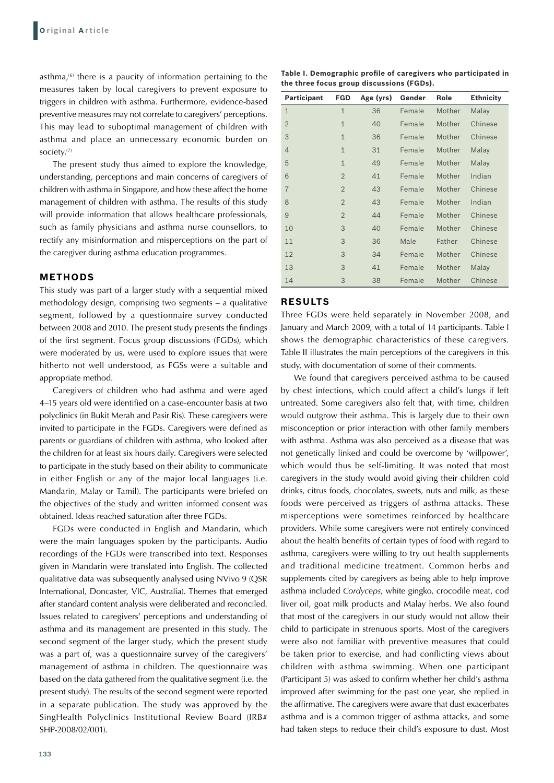asthma, $(6)$  there is a paucity of information pertaining to the measures taken by local caregivers to prevent exposure to triggers in children with asthma. Furthermore, evidence-based preventive measures may not correlate to caregivers' perceptions. This may lead to suboptimal management of children with asthma and place an unnecessary economic burden on society.(7)

The present study thus aimed to explore the knowledge, understanding, perceptions and main concerns of caregivers of children with asthma in Singapore, and how these affect the home management of children with asthma. The results of this study will provide information that allows healthcare professionals, such as family physicians and asthma nurse counsellors, to rectify any misinformation and misperceptions on the part of the caregiver during asthma education programmes.

### **METHODS**

This study was part of a larger study with a sequential mixed methodology design, comprising two segments – a qualitative segment, followed by a questionnaire survey conducted between 2008 and 2010. The present study presents the findings of the first segment. Focus group discussions (FGDs), which were moderated by us, were used to explore issues that were hitherto not well understood, as FGSs were a suitable and appropriate method.

Caregivers of children who had asthma and were aged 4–15 years old were identified on a case-encounter basis at two polyclinics (in Bukit Merah and Pasir Ris). These caregivers were invited to participate in the FGDs. Caregivers were defined as parents or guardians of children with asthma, who looked after the children for at least six hours daily. Caregivers were selected to participate in the study based on their ability to communicate in either English or any of the major local languages (i.e. Mandarin, Malay or Tamil). The participants were briefed on the objectives of the study and written informed consent was obtained. Ideas reached saturation after three FGDs.

FGDs were conducted in English and Mandarin, which were the main languages spoken by the participants. Audio recordings of the FGDs were transcribed into text. Responses given in Mandarin were translated into English. The collected qualitative data was subsequently analysed using NVivo 9 (QSR International, Doncaster, VIC, Australia). Themes that emerged after standard content analysis were deliberated and reconciled. Issues related to caregivers' perceptions and understanding of asthma and its management are presented in this study. The second segment of the larger study, which the present study was a part of, was a questionnaire survey of the caregivers' management of asthma in children. The questionnaire was based on the data gathered from the qualitative segment (i.e. the present study). The results of the second segment were reported in a separate publication. The study was approved by the SingHealth Polyclinics Institutional Review Board (IRB# SHP-2008/02/001).

**Table I. Demographic profile of caregivers who participated in the three focus group discussions (FGDs).**

| Participant    | <b>FGD</b>     | Age (yrs) | Gender | Role   | <b>Ethnicity</b> |
|----------------|----------------|-----------|--------|--------|------------------|
| $\mathbf{1}$   | $\mathbf{1}$   | 36        | Female | Mother | Malay            |
| $\overline{2}$ | $\mathbf{1}$   | 40        | Female | Mother | Chinese          |
| 3              | $\mathbf{1}$   | 36        | Female | Mother | Chinese          |
| $\overline{4}$ | $\mathbf{1}$   | 31        | Female | Mother | Malay            |
| 5              | $\mathbf{1}$   | 49        | Female | Mother | Malay            |
| 6              | $\overline{2}$ | 41        | Female | Mother | Indian           |
| $\overline{7}$ | $\overline{2}$ | 43        | Female | Mother | Chinese          |
| 8              | $\overline{2}$ | 43        | Female | Mother | Indian           |
| 9              | $\overline{2}$ | 44        | Female | Mother | Chinese          |
| 10             | 3              | 40        | Female | Mother | Chinese          |
| 11             | 3              | 36        | Male   | Father | Chinese          |
| 12             | 3              | 34        | Female | Mother | Chinese          |
| 13             | 3              | 41        | Female | Mother | Malay            |
| 14             | 3              | 38        | Female | Mother | Chinese          |

## **RESULTS**

Three FGDs were held separately in November 2008, and January and March 2009, with a total of 14 participants. Table I shows the demographic characteristics of these caregivers. Table II illustrates the main perceptions of the caregivers in this study, with documentation of some of their comments.

We found that caregivers perceived asthma to be caused by chest infections, which could affect a child's lungs if left untreated. Some caregivers also felt that, with time, children would outgrow their asthma. This is largely due to their own misconception or prior interaction with other family members with asthma. Asthma was also perceived as a disease that was not genetically linked and could be overcome by 'willpower', which would thus be self-limiting. It was noted that most caregivers in the study would avoid giving their children cold drinks, citrus foods, chocolates, sweets, nuts and milk, as these foods were perceived as triggers of asthma attacks. These misperceptions were sometimes reinforced by healthcare providers. While some caregivers were not entirely convinced about the health benefits of certain types of food with regard to asthma, caregivers were willing to try out health supplements and traditional medicine treatment. Common herbs and supplements cited by caregivers as being able to help improve asthma included *Cordyceps*, white gingko, crocodile meat, cod liver oil, goat milk products and Malay herbs. We also found that most of the caregivers in our study would not allow their child to participate in strenuous sports. Most of the caregivers were also not familiar with preventive measures that could be taken prior to exercise, and had conflicting views about children with asthma swimming. When one participant (Participant 5) was asked to confirm whether her child's asthma improved after swimming for the past one year, she replied in the affirmative. The caregivers were aware that dust exacerbates asthma and is a common trigger of asthma attacks, and some had taken steps to reduce their child's exposure to dust. Most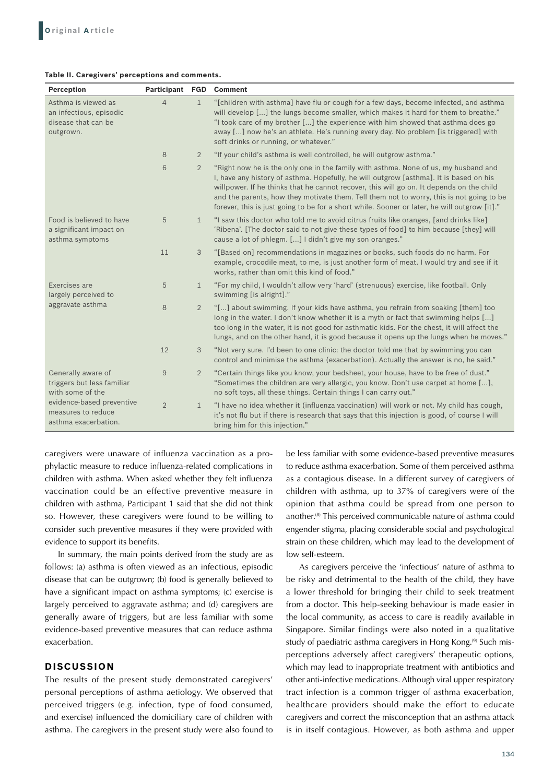#### **Table II. Caregivers' perceptions and comments.**

| Perception                                                                                                                                      | <b>Participant FGD</b> |                | <b>Comment</b>                                                                                                                                                                                                                                                                                                                                                                                                                                                        |
|-------------------------------------------------------------------------------------------------------------------------------------------------|------------------------|----------------|-----------------------------------------------------------------------------------------------------------------------------------------------------------------------------------------------------------------------------------------------------------------------------------------------------------------------------------------------------------------------------------------------------------------------------------------------------------------------|
| Asthma is viewed as<br>an infectious, episodic<br>disease that can be<br>outgrown.                                                              | $\overline{4}$         | $\mathbf{1}$   | "[children with asthma] have flu or cough for a few days, become infected, and asthma<br>will develop [] the lungs become smaller, which makes it hard for them to breathe."<br>"I took care of my brother [] the experience with him showed that asthma does go<br>away [] now he's an athlete. He's running every day. No problem [is triggered] with<br>soft drinks or running, or whatever."                                                                      |
|                                                                                                                                                 | 8                      | $\overline{2}$ | "If your child's asthma is well controlled, he will outgrow asthma."                                                                                                                                                                                                                                                                                                                                                                                                  |
|                                                                                                                                                 | 6                      | $\overline{2}$ | "Right now he is the only one in the family with asthma. None of us, my husband and<br>I, have any history of asthma. Hopefully, he will outgrow [asthma]. It is based on his<br>willpower. If he thinks that he cannot recover, this will go on. It depends on the child<br>and the parents, how they motivate them. Tell them not to worry, this is not going to be<br>forever, this is just going to be for a short while. Sooner or later, he will outgrow [it]." |
| Food is believed to have<br>a significant impact on<br>asthma symptoms                                                                          | 5                      | $\mathbf{1}$   | "I saw this doctor who told me to avoid citrus fruits like oranges, [and drinks like]<br>'Ribena'. [The doctor said to not give these types of food] to him because [they] will<br>cause a lot of phlegm. [] I didn't give my son oranges."                                                                                                                                                                                                                           |
|                                                                                                                                                 | 11                     | 3              | "[Based on] recommendations in magazines or books, such foods do no harm. For<br>example, crocodile meat, to me, is just another form of meat. I would try and see if it<br>works, rather than omit this kind of food."                                                                                                                                                                                                                                               |
| Exercises are<br>largely perceived to<br>aggravate asthma                                                                                       | 5                      | $\mathbf{1}$   | "For my child, I wouldn't allow very 'hard' (strenuous) exercise, like football. Only<br>swimming [is alright]."                                                                                                                                                                                                                                                                                                                                                      |
|                                                                                                                                                 | 8                      | $\overline{2}$ | "[] about swimming. If your kids have asthma, you refrain from soaking [them] too<br>long in the water. I don't know whether it is a myth or fact that swimming helps []<br>too long in the water, it is not good for asthmatic kids. For the chest, it will affect the<br>lungs, and on the other hand, it is good because it opens up the lungs when he moves."                                                                                                     |
|                                                                                                                                                 | 12                     | 3              | "Not very sure. I'd been to one clinic: the doctor told me that by swimming you can<br>control and minimise the asthma (exacerbation). Actually the answer is no, he said."                                                                                                                                                                                                                                                                                           |
| Generally aware of<br>triggers but less familiar<br>with some of the<br>evidence-based preventive<br>measures to reduce<br>asthma exacerbation. | 9                      | $\overline{2}$ | "Certain things like you know, your bedsheet, your house, have to be free of dust."<br>"Sometimes the children are very allergic, you know. Don't use carpet at home [],<br>no soft toys, all these things. Certain things I can carry out."                                                                                                                                                                                                                          |
|                                                                                                                                                 | $\overline{2}$         | $\mathbf{1}$   | "I have no idea whether it (influenza vaccination) will work or not. My child has cough,<br>it's not flu but if there is research that says that this injection is good, of course I will<br>bring him for this injection."                                                                                                                                                                                                                                           |

caregivers were unaware of influenza vaccination as a prophylactic measure to reduce influenza-related complications in children with asthma. When asked whether they felt influenza vaccination could be an effective preventive measure in children with asthma, Participant 1 said that she did not think so. However, these caregivers were found to be willing to consider such preventive measures if they were provided with evidence to support its benefits.

In summary, the main points derived from the study are as follows: (a) asthma is often viewed as an infectious, episodic disease that can be outgrown; (b) food is generally believed to have a significant impact on asthma symptoms; (c) exercise is largely perceived to aggravate asthma; and (d) caregivers are generally aware of triggers, but are less familiar with some evidence-based preventive measures that can reduce asthma exacerbation.

## **DISCUSSION**

The results of the present study demonstrated caregivers' personal perceptions of asthma aetiology. We observed that perceived triggers (e.g. infection, type of food consumed, and exercise) influenced the domiciliary care of children with asthma. The caregivers in the present study were also found to be less familiar with some evidence-based preventive measures to reduce asthma exacerbation. Some of them perceived asthma as a contagious disease. In a different survey of caregivers of children with asthma, up to 37% of caregivers were of the opinion that asthma could be spread from one person to another.(8) This perceived communicable nature of asthma could engender stigma, placing considerable social and psychological strain on these children, which may lead to the development of low self-esteem.

As caregivers perceive the 'infectious' nature of asthma to be risky and detrimental to the health of the child, they have a lower threshold for bringing their child to seek treatment from a doctor. This help-seeking behaviour is made easier in the local community, as access to care is readily available in Singapore. Similar findings were also noted in a qualitative study of paediatric asthma caregivers in Hong Kong.<sup>(9)</sup> Such misperceptions adversely affect caregivers' therapeutic options, which may lead to inappropriate treatment with antibiotics and other anti-infective medications. Although viral upper respiratory tract infection is a common trigger of asthma exacerbation, healthcare providers should make the effort to educate caregivers and correct the misconception that an asthma attack is in itself contagious. However, as both asthma and upper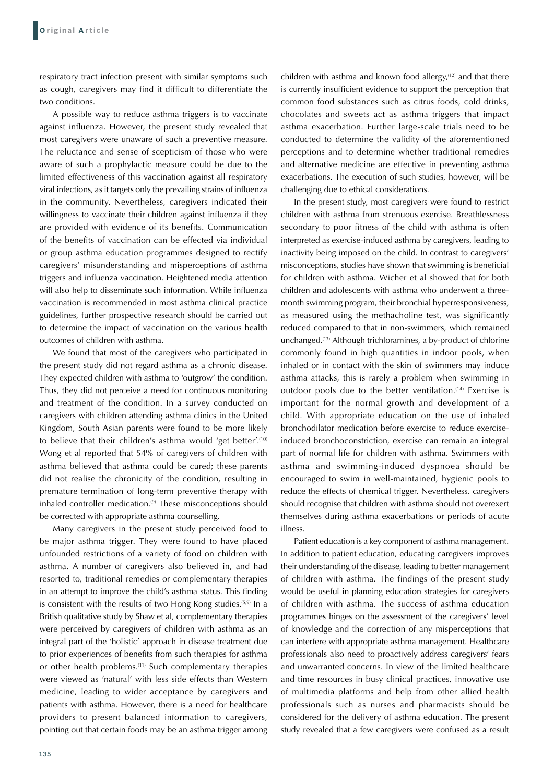respiratory tract infection present with similar symptoms such as cough, caregivers may find it difficult to differentiate the two conditions.

A possible way to reduce asthma triggers is to vaccinate against influenza. However, the present study revealed that most caregivers were unaware of such a preventive measure. The reluctance and sense of scepticism of those who were aware of such a prophylactic measure could be due to the limited effectiveness of this vaccination against all respiratory viral infections, as it targets only the prevailing strains of influenza in the community. Nevertheless, caregivers indicated their willingness to vaccinate their children against influenza if they are provided with evidence of its benefits. Communication of the benefits of vaccination can be effected via individual or group asthma education programmes designed to rectify caregivers' misunderstanding and misperceptions of asthma triggers and influenza vaccination. Heightened media attention will also help to disseminate such information. While influenza vaccination is recommended in most asthma clinical practice guidelines, further prospective research should be carried out to determine the impact of vaccination on the various health outcomes of children with asthma.

We found that most of the caregivers who participated in the present study did not regard asthma as a chronic disease. They expected children with asthma to 'outgrow' the condition. Thus, they did not perceive a need for continuous monitoring and treatment of the condition. In a survey conducted on caregivers with children attending asthma clinics in the United Kingdom, South Asian parents were found to be more likely to believe that their children's asthma would 'get better'.<sup>(10)</sup> Wong et al reported that 54% of caregivers of children with asthma believed that asthma could be cured; these parents did not realise the chronicity of the condition, resulting in premature termination of long-term preventive therapy with inhaled controller medication.<sup>(9)</sup> These misconceptions should be corrected with appropriate asthma counselling.

Many caregivers in the present study perceived food to be major asthma trigger. They were found to have placed unfounded restrictions of a variety of food on children with asthma. A number of caregivers also believed in, and had resorted to, traditional remedies or complementary therapies in an attempt to improve the child's asthma status. This finding is consistent with the results of two Hong Kong studies.<sup>(5,9)</sup> In a British qualitative study by Shaw et al, complementary therapies were perceived by caregivers of children with asthma as an integral part of the 'holistic' approach in disease treatment due to prior experiences of benefits from such therapies for asthma or other health problems.(11) Such complementary therapies were viewed as 'natural' with less side effects than Western medicine, leading to wider acceptance by caregivers and patients with asthma. However, there is a need for healthcare providers to present balanced information to caregivers, pointing out that certain foods may be an asthma trigger among children with asthma and known food allergy, $(12)$  and that there is currently insufficient evidence to support the perception that common food substances such as citrus foods, cold drinks, chocolates and sweets act as asthma triggers that impact asthma exacerbation. Further large-scale trials need to be conducted to determine the validity of the aforementioned perceptions and to determine whether traditional remedies and alternative medicine are effective in preventing asthma exacerbations. The execution of such studies, however, will be challenging due to ethical considerations.

In the present study, most caregivers were found to restrict children with asthma from strenuous exercise. Breathlessness secondary to poor fitness of the child with asthma is often interpreted as exercise-induced asthma by caregivers, leading to inactivity being imposed on the child. In contrast to caregivers' misconceptions, studies have shown that swimming is beneficial for children with asthma. Wicher et al showed that for both children and adolescents with asthma who underwent a threemonth swimming program, their bronchial hyperresponsiveness, as measured using the methacholine test, was significantly reduced compared to that in non-swimmers, which remained unchanged.(13) Although trichloramines, a by-product of chlorine commonly found in high quantities in indoor pools, when inhaled or in contact with the skin of swimmers may induce asthma attacks, this is rarely a problem when swimming in outdoor pools due to the better ventilation.<sup>(14)</sup> Exercise is important for the normal growth and development of a child. With appropriate education on the use of inhaled bronchodilator medication before exercise to reduce exerciseinduced bronchoconstriction, exercise can remain an integral part of normal life for children with asthma. Swimmers with asthma and swimming-induced dyspnoea should be encouraged to swim in well-maintained, hygienic pools to reduce the effects of chemical trigger. Nevertheless, caregivers should recognise that children with asthma should not overexert themselves during asthma exacerbations or periods of acute illness.

Patient education is a key component of asthma management. In addition to patient education, educating caregivers improves their understanding of the disease, leading to better management of children with asthma. The findings of the present study would be useful in planning education strategies for caregivers of children with asthma. The success of asthma education programmes hinges on the assessment of the caregivers' level of knowledge and the correction of any misperceptions that can interfere with appropriate asthma management. Healthcare professionals also need to proactively address caregivers' fears and unwarranted concerns. In view of the limited healthcare and time resources in busy clinical practices, innovative use of multimedia platforms and help from other allied health professionals such as nurses and pharmacists should be considered for the delivery of asthma education. The present study revealed that a few caregivers were confused as a result